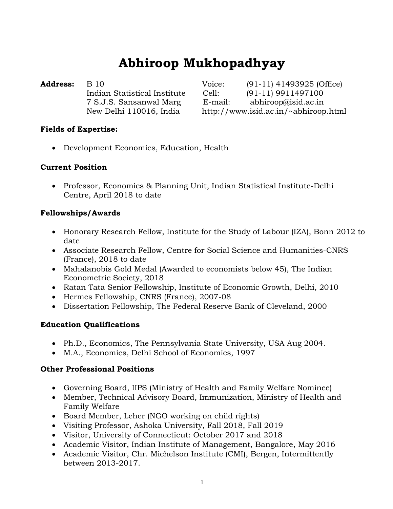# Abhiroop Mukhopadhyay

**Address:** B 10 Voice: (91-11) 41493925 (Office) Indian Statistical Institute Cell: (91-11) 9911497100 7 S.J.S. Sansanwal Marg E-mail: abhiroop@isid.ac.in New Delhi 110016, India http://www.isid.ac.in/~abhiroop.html

## Fields of Expertise:

Development Economics, Education, Health

## Current Position

• Professor, Economics & Planning Unit, Indian Statistical Institute-Delhi Centre, April 2018 to date

## Fellowships/Awards

- Honorary Research Fellow, Institute for the Study of Labour (IZA), Bonn 2012 to date
- Associate Research Fellow, Centre for Social Science and Humanities-CNRS (France), 2018 to date
- Mahalanobis Gold Medal (Awarded to economists below 45), The Indian Econometric Society, 2018
- Ratan Tata Senior Fellowship, Institute of Economic Growth, Delhi, 2010
- Hermes Fellowship, CNRS (France), 2007-08
- Dissertation Fellowship, The Federal Reserve Bank of Cleveland, 2000

## Education Qualifications

- Ph.D., Economics, The Pennsylvania State University, USA Aug 2004.
- M.A., Economics, Delhi School of Economics, 1997

## Other Professional Positions

- Governing Board, IIPS (Ministry of Health and Family Welfare Nominee)
- Member, Technical Advisory Board, Immunization, Ministry of Health and Family Welfare
- Board Member, Leher (NGO working on child rights)
- Visiting Professor, Ashoka University, Fall 2018, Fall 2019
- Visitor, University of Connecticut: October 2017 and 2018
- Academic Visitor, Indian Institute of Management, Bangalore, May 2016
- Academic Visitor, Chr. Michelson Institute (CMI), Bergen, Intermittently between 2013-2017.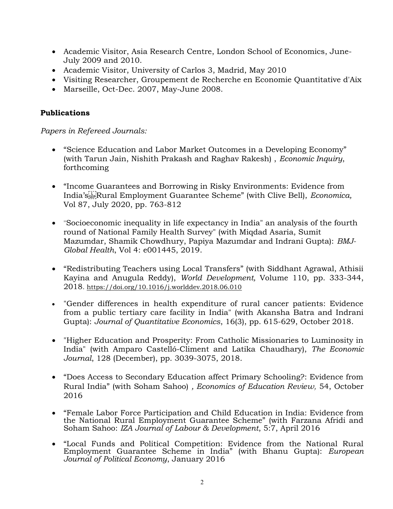- Academic Visitor, Asia Research Centre, London School of Economics, June-July 2009 and 2010.
- Academic Visitor, University of Carlos 3, Madrid, May 2010
- Visiting Researcher, Groupement de Recherche en Economie Quantitative d'Aix
- Marseille, Oct-Dec. 2007, May-June 2008.

#### Publications

#### Papers in Refereed Journals:

- "Science Education and Labor Market Outcomes in a Developing Economy" (with Tarun Jain, Nishith Prakash and Raghav Rakesh) , Economic Inquiry, forthcoming
- "Income Guarantees and Borrowing in Risky Environments: Evidence from India's Rural Employment Guarantee Scheme" (with Clive Bell), Economica, Vol 87, July 2020, pp. 763-812
- "Socioeconomic inequality in life expectancy in India" an analysis of the fourth round of National Family Health Survey" (with Miqdad Asaria, Sumit Mazumdar, Shamik Chowdhury, Papiya Mazumdar and Indrani Gupta): BMJ-Global Health, Vol 4: e001445, 2019.
- "Redistributing Teachers using Local Transfers" (with Siddhant Agrawal, Athisii Kayina and Anugula Reddy), World Development, Volume 110, pp. 333-344, 2018. https://doi.org/10.1016/j.worlddev.2018.06.010
- "Gender differences in health expenditure of rural cancer patients: Evidence from a public tertiary care facility in India" (with Akansha Batra and Indrani Gupta): Journal of Quantitative Economics, 16(3), pp. 615-629, October 2018.
- "Higher Education and Prosperity: From Catholic Missionaries to Luminosity in India" (with Amparo Castelló-Climent and Latika Chaudhary), The Economic Journal, 128 (December), pp. 3039-3075, 2018.
- "Does Access to Secondary Education affect Primary Schooling?: Evidence from Rural India" (with Soham Sahoo) , Economics of Education Review, 54, October 2016
- "Female Labor Force Participation and Child Education in India: Evidence from the National Rural Employment Guarantee Scheme" (with Farzana Afridi and Soham Sahoo: IZA Journal of Labour & Development, 5:7, April 2016
- "Local Funds and Political Competition: Evidence from the National Rural Employment Guarantee Scheme in India" (with Bhanu Gupta): European Journal of Political Economy, January 2016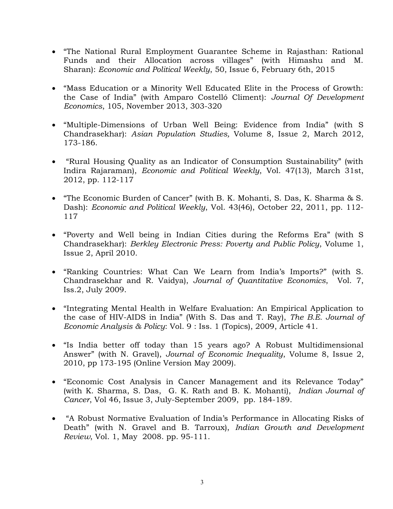- "The National Rural Employment Guarantee Scheme in Rajasthan: Rational Funds and their Allocation across villages" (with Himashu and M. Sharan): Economic and Political Weekly, 50, Issue 6, February 6th, 2015
- "Mass Education or a Minority Well Educated Elite in the Process of Growth: the Case of India" (with Amparo Costelló Climent): Journal Of Development Economics, 105, November 2013, 303-320
- "Multiple-Dimensions of Urban Well Being: Evidence from India" (with S Chandrasekhar): Asian Population Studies, Volume 8, Issue 2, March 2012, 173-186.
- "Rural Housing Quality as an Indicator of Consumption Sustainability" (with Indira Rajaraman), Economic and Political Weekly, Vol. 47(13), March 31st, 2012, pp. 112-117
- "The Economic Burden of Cancer" (with B. K. Mohanti, S. Das, K. Sharma & S. Dash): Economic and Political Weekly, Vol. 43(46), October 22, 2011, pp. 112- 117
- "Poverty and Well being in Indian Cities during the Reforms Era" (with S Chandrasekhar): Berkley Electronic Press: Poverty and Public Policy, Volume 1, Issue 2, April 2010.
- "Ranking Countries: What Can We Learn from India's Imports?" (with S. Chandrasekhar and R. Vaidya), Journal of Quantitative Economics, Vol. 7, Iss.2, July 2009.
- "Integrating Mental Health in Welfare Evaluation: An Empirical Application to the case of HIV-AIDS in India" (With S. Das and T. Ray), The B.E. Journal of Economic Analysis & Policy: Vol. 9 : Iss. 1 (Topics), 2009, Article 41.
- "Is India better off today than 15 years ago? A Robust Multidimensional Answer" (with N. Gravel), Journal of Economic Inequality, Volume 8, Issue 2, 2010, pp 173-195 (Online Version May 2009).
- "Economic Cost Analysis in Cancer Management and its Relevance Today" (with K. Sharma, S. Das, G. K. Rath and B. K. Mohanti), Indian Journal of Cancer, Vol 46, Issue 3, July-September 2009, pp. 184-189.
- "A Robust Normative Evaluation of India's Performance in Allocating Risks of Death" (with N. Gravel and B. Tarroux), Indian Growth and Development Review, Vol. 1, May 2008. pp. 95-111.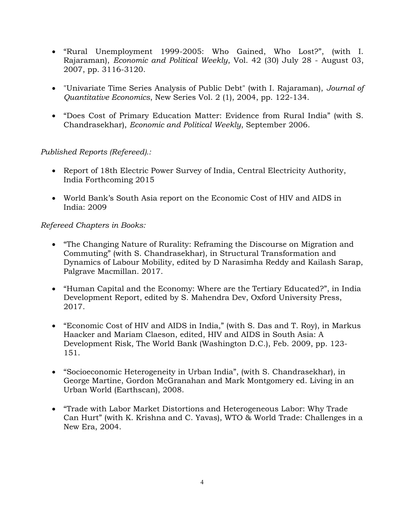- "Rural Unemployment 1999-2005: Who Gained, Who Lost?", (with I. Rajaraman), Economic and Political Weekly, Vol. 42 (30) July 28 - August 03, 2007, pp. 3116-3120.
- "Univariate Time Series Analysis of Public Debt" (with I. Rajaraman), Journal of Quantitative Economics, New Series Vol. 2 (1), 2004, pp. 122-134.
- "Does Cost of Primary Education Matter: Evidence from Rural India" (with S. Chandrasekhar), Economic and Political Weekly, September 2006.

## Published Reports (Refereed).:

- Report of 18th Electric Power Survey of India, Central Electricity Authority, India Forthcoming 2015
- World Bank's South Asia report on the Economic Cost of HIV and AIDS in India: 2009

## Refereed Chapters in Books:

- "The Changing Nature of Rurality: Reframing the Discourse on Migration and Commuting" (with S. Chandrasekhar), in Structural Transformation and Dynamics of Labour Mobility, edited by D Narasimha Reddy and Kailash Sarap, Palgrave Macmillan. 2017.
- "Human Capital and the Economy: Where are the Tertiary Educated?", in India Development Report, edited by S. Mahendra Dev, Oxford University Press, 2017.
- "Economic Cost of HIV and AIDS in India," (with S. Das and T. Roy), in Markus Haacker and Mariam Claeson, edited, HIV and AIDS in South Asia: A Development Risk, The World Bank (Washington D.C.), Feb. 2009, pp. 123- 151.
- "Socioeconomic Heterogeneity in Urban India", (with S. Chandrasekhar), in George Martine, Gordon McGranahan and Mark Montgomery ed. Living in an Urban World (Earthscan), 2008.
- "Trade with Labor Market Distortions and Heterogeneous Labor: Why Trade Can Hurt" (with K. Krishna and C. Yavas), WTO & World Trade: Challenges in a New Era, 2004.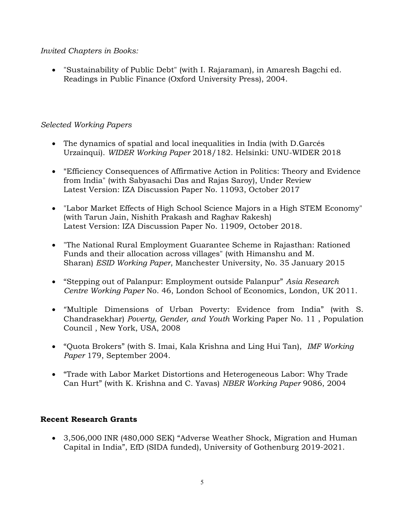## Invited Chapters in Books:

 "Sustainability of Public Debt" (with I. Rajaraman), in Amaresh Bagchi ed. Readings in Public Finance (Oxford University Press), 2004.

## Selected Working Papers

- The dynamics of spatial and local inequalities in India (with D.Garcés Urzainqui). WIDER Working Paper 2018/182. Helsinki: UNU-WIDER 2018
- "Efficiency Consequences of Affirmative Action in Politics: Theory and Evidence from India" (with Sabyasachi Das and Rajas Saroy), Under Review Latest Version: IZA Discussion Paper No. 11093, October 2017
- "Labor Market Effects of High School Science Majors in a High STEM Economy" (with Tarun Jain, Nishith Prakash and Raghav Rakesh) Latest Version: IZA Discussion Paper No. 11909, October 2018.
- "The National Rural Employment Guarantee Scheme in Rajasthan: Rationed Funds and their allocation across villages" (with Himanshu and M. Sharan) ESID Working Paper, Manchester University, No. 35 January 2015
- "Stepping out of Palanpur: Employment outside Palanpur" Asia Research Centre Working Paper No. 46, London School of Economics, London, UK 2011.
- "Multiple Dimensions of Urban Poverty: Evidence from India" (with S. Chandrasekhar) Poverty, Gender, and Youth Working Paper No. 11 , Population Council , New York, USA, 2008
- "Quota Brokers" (with S. Imai, Kala Krishna and Ling Hui Tan), IMF Working Paper 179, September 2004.
- "Trade with Labor Market Distortions and Heterogeneous Labor: Why Trade Can Hurt" (with K. Krishna and C. Yavas) NBER Working Paper 9086, 2004

## Recent Research Grants

 3,506,000 INR (480,000 SEK) "Adverse Weather Shock, Migration and Human Capital in India", EfD (SIDA funded), University of Gothenburg 2019-2021.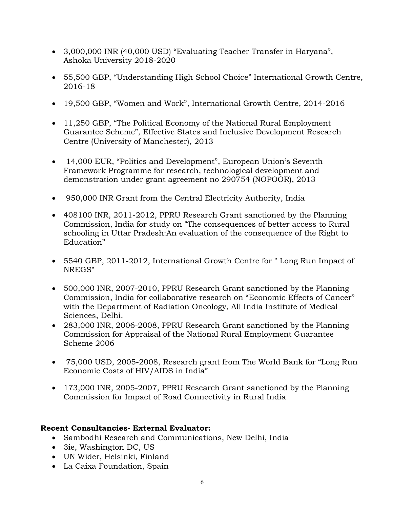- 3,000,000 INR (40,000 USD) "Evaluating Teacher Transfer in Haryana", Ashoka University 2018-2020
- 55,500 GBP, "Understanding High School Choice" International Growth Centre, 2016-18
- 19,500 GBP, "Women and Work", International Growth Centre, 2014-2016
- 11,250 GBP, "The Political Economy of the National Rural Employment Guarantee Scheme", Effective States and Inclusive Development Research Centre (University of Manchester), 2013
- 14,000 EUR, "Politics and Development", European Union's Seventh Framework Programme for research, technological development and demonstration under grant agreement no 290754 (NOPOOR), 2013
- 950,000 INR Grant from the Central Electricity Authority, India
- 408100 INR, 2011-2012, PPRU Research Grant sanctioned by the Planning Commission, India for study on "The consequences of better access to Rural schooling in Uttar Pradesh:An evaluation of the consequence of the Right to Education"
- 5540 GBP, 2011-2012, International Growth Centre for " Long Run Impact of NREGS"
- 500,000 INR, 2007-2010, PPRU Research Grant sanctioned by the Planning Commission, India for collaborative research on "Economic Effects of Cancer" with the Department of Radiation Oncology, All India Institute of Medical Sciences, Delhi.
- 283,000 INR, 2006-2008, PPRU Research Grant sanctioned by the Planning Commission for Appraisal of the National Rural Employment Guarantee Scheme 2006
- 75,000 USD, 2005-2008, Research grant from The World Bank for "Long Run Economic Costs of HIV/AIDS in India"
- 173,000 INR, 2005-2007, PPRU Research Grant sanctioned by the Planning Commission for Impact of Road Connectivity in Rural India

## Recent Consultancies- External Evaluator:

- Sambodhi Research and Communications, New Delhi, India
- 3ie, Washington DC, US
- UN Wider, Helsinki, Finland
- La Caixa Foundation, Spain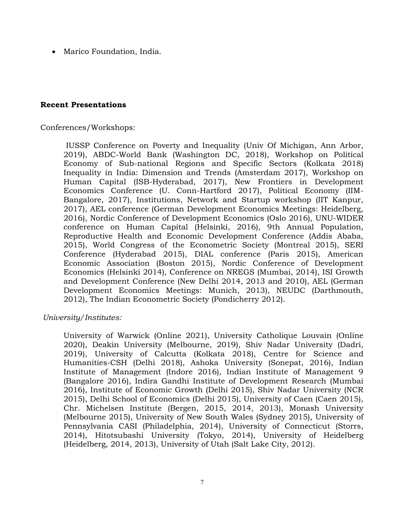Marico Foundation, India.

#### Recent Presentations

Conferences/Workshops:

 IUSSP Conference on Poverty and Inequality (Univ Of Michigan, Ann Arbor, 2019), ABDC-World Bank (Washington DC, 2018), Workshop on Political Economy of Sub-national Regions and Specific Sectors (Kolkata 2018) Inequality in India: Dimension and Trends (Amsterdam 2017), Workshop on Human Capital (ISB-Hyderabad, 2017), New Frontiers in Development Economics Conference (U. Conn-Hartford 2017), Political Economy (IIM-Bangalore, 2017), Institutions, Network and Startup workshop (IIT Kanpur, 2017), AEL conference (German Development Economics Meetings: Heidelberg, 2016), Nordic Conference of Development Economics (Oslo 2016), UNU-WIDER conference on Human Capital (Helsinki, 2016), 9th Annual Population, Reproductive Health and Economic Development Conference (Addis Ababa, 2015), World Congress of the Econometric Society (Montreal 2015), SERI Conference (Hyderabad 2015), DIAL conference (Paris 2015), American Economic Association (Boston 2015), Nordic Conference of Development Economics (Helsinki 2014), Conference on NREGS (Mumbai, 2014), ISI Growth and Development Conference (New Delhi 2014, 2013 and 2010), AEL (German Development Economics Meetings: Munich, 2013), NEUDC (Darthmouth, 2012), The Indian Econometric Society (Pondicherry 2012).

#### University/Institutes:

University of Warwick (Online 2021), University Catholique Louvain (Online 2020), Deakin University (Melbourne, 2019), Shiv Nadar University (Dadri, 2019), University of Calcutta (Kolkata 2018), Centre for Science and Humanities-CSH (Delhi 2018), Ashoka University (Sonepat, 2016), Indian Institute of Management (Indore 2016), Indian Institute of Management 9 (Bangalore 2016), Indira Gandhi Institute of Development Research (Mumbai 2016), Institute of Economic Growth (Delhi 2015), Shiv Nadar University (NCR 2015), Delhi School of Economics (Delhi 2015), University of Caen (Caen 2015), Chr. Michelsen Institute (Bergen, 2015, 2014, 2013), Monash University (Melbourne 2015), University of New South Wales (Sydney 2015), University of Pennsylvania CASI (Philadelphia, 2014), University of Connecticut (Storrs, 2014), Hitotsubashi University (Tokyo, 2014), University of Heidelberg (Heidelberg, 2014, 2013), University of Utah (Salt Lake City, 2012).